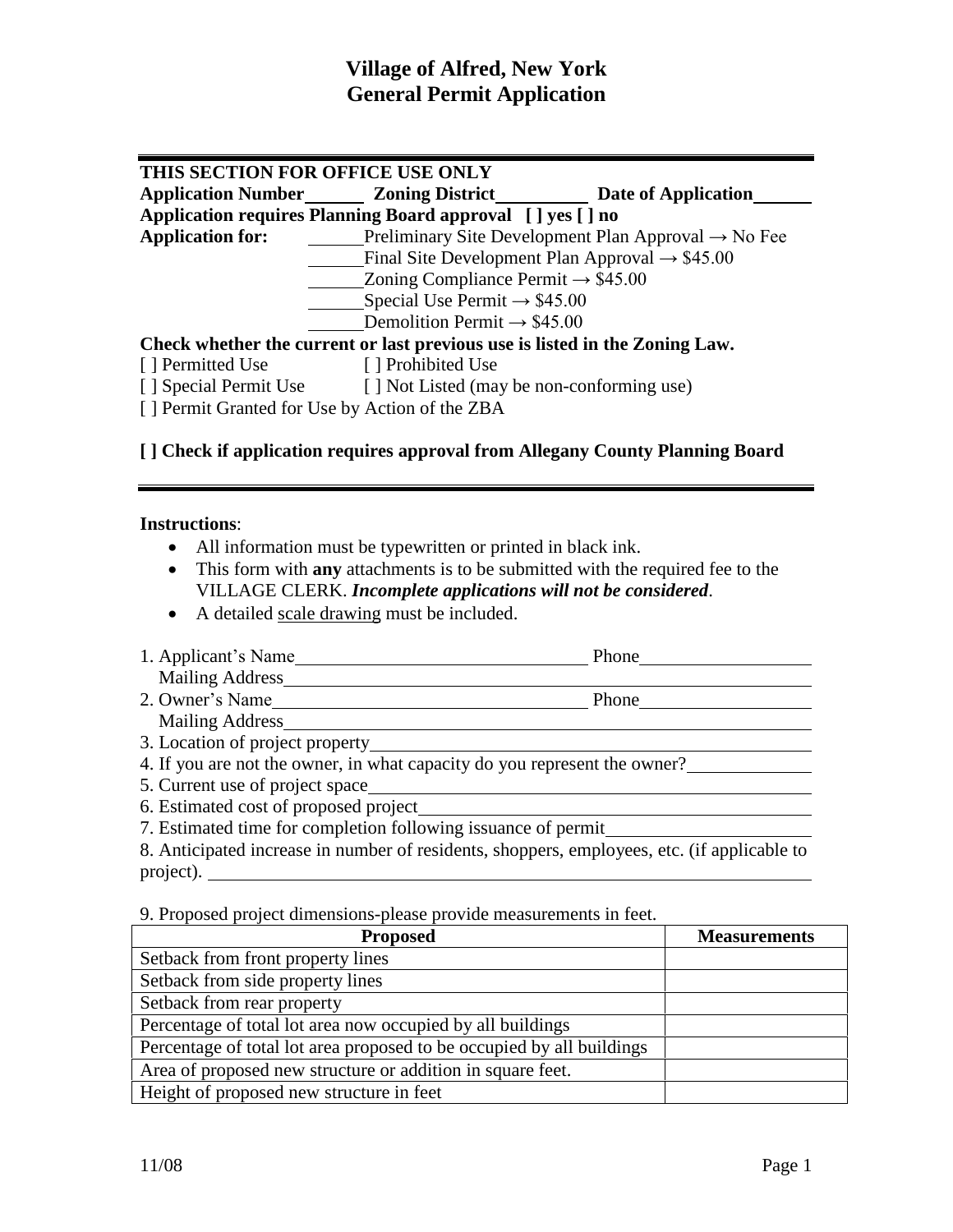### **Village of Alfred, New York General Permit Application**

### **THIS SECTION FOR OFFICE USE ONLY Application Number Zoning District Date of Application<br>
<b>Application requires Planning Board approval** [] yes [] no<br> **Application for:** \_\_\_\_\_\_\_Preliminary Site Development Plan Approval → No Fee **Application requires Planning Board approval [ ] yes [ ] no** Preliminary Site Development Plan Approval  $\rightarrow$  No Fee Preliminary Site Development Plan Approval  $\rightarrow$  Final Site Development Plan Approval  $\rightarrow$  \$45.00<br>Zoning Compliance Permit  $\rightarrow$  \$45.00 Final Site Development Plan Approval –<br>Zoning Compliance Permit  $\rightarrow$  \$45.00<br>Special Use Permit  $\rightarrow$  \$45.00  $\frac{\text{Zoning Compliance Permit} \rightarrow $45.00}{\text{Special Use Permit} \rightarrow $45.00}$ <br>Demolition Permit → \$45.00 **Check whether the current or last previous use is listed in the Zoning Law.** [ ] Permitted Use [ ] Prohibited Use [ ] Special Permit Use [ ] Not Listed (may be non-conforming use) [ ] Permit Granted for Use by Action of the ZBA

### **[ ] Check if application requires approval from Allegany County Planning Board**

#### **Instructions**:

- All information must be typewritten or printed in black ink.
- This form with**any** attachments is to be submitted with the required fee to the VILLAGE CLERK. *Incomplete applications will not be considered*.
- A detailed scale drawing must be included.
- 1. Applicantís Name Phone Mailing Address 1. Applicant's Name
Mailing Address
Phone
Phone
Phone
Phone
Phone
Phone
Phone
Phone
Phone
Phone
Phone
Phone
Phone
Phone
Phone
Phone
Phone
Phone
Phone
Phone
Phone
Phone
Phone
Phone
Phone
Phone
Phone
Phone
Phone
Phone
Phone
- Mailing Address <u> 1980 - Johann Barn, mars ann an t-Amhain Aonaichte ann an t-Aonaichte ann an t-Aonaichte ann an t-Aonaichte a</u>
- 3. Location of project property
- 4. If you are not the owner, in what capacity do you represent the owner?
- 5. Current use of project space
- 6. Estimated cost of proposed project
- 7. Estimated time for completion following issuance of permit

8. Anticipated increase in number of residents, shoppers, employees, etc. (if applicable to project).

9. Proposed project dimensions-please provide measurements in feet.

| <b>Proposed</b>                                                       | <b>Measurements</b> |
|-----------------------------------------------------------------------|---------------------|
| Setback from front property lines                                     |                     |
| Setback from side property lines                                      |                     |
| Setback from rear property                                            |                     |
| Percentage of total lot area now occupied by all buildings            |                     |
| Percentage of total lot area proposed to be occupied by all buildings |                     |
| Area of proposed new structure or addition in square feet.            |                     |
| Height of proposed new structure in feet                              |                     |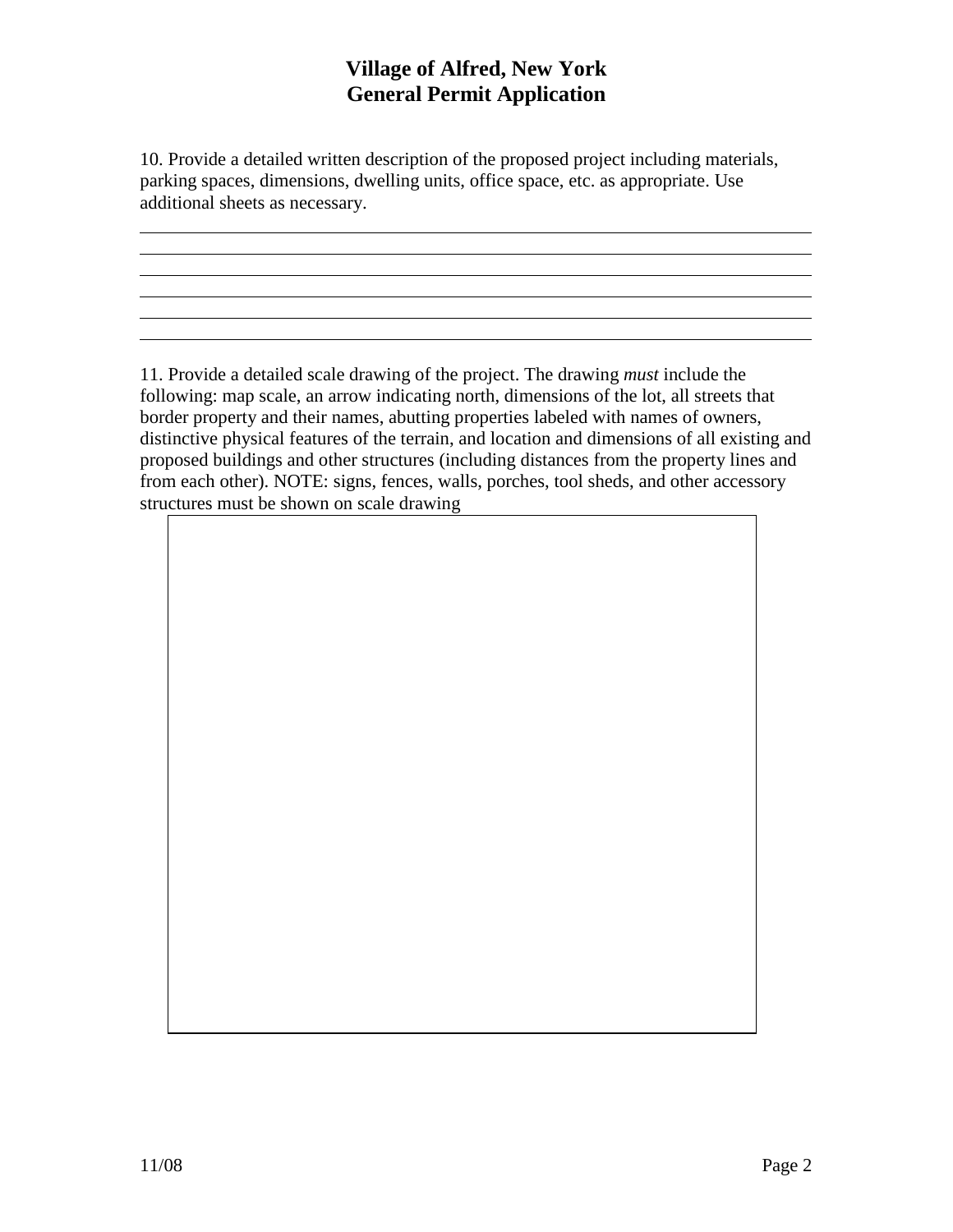# **Village of Alfred, New York General Permit Application**

10. Provide a detailed written description of the proposed project including materials, parking spaces, dimensions, dwelling units, office space, etc. as appropriate. Use additional sheets as necessary.

11. Provide a detailed scale drawing of the project. The drawing *must* include the following: map scale, an arrow indicating north, dimensions of the lot, all streets that border property and their names, abutting properties labeled with names of owners, distinctive physical features of the terrain, and location and dimensions of all existing and proposed buildings and other structures (including distances from the property lines and from each other). NOTE: signs, fences, walls, porches, tool sheds, and other accessory structures must be shown on scale drawing